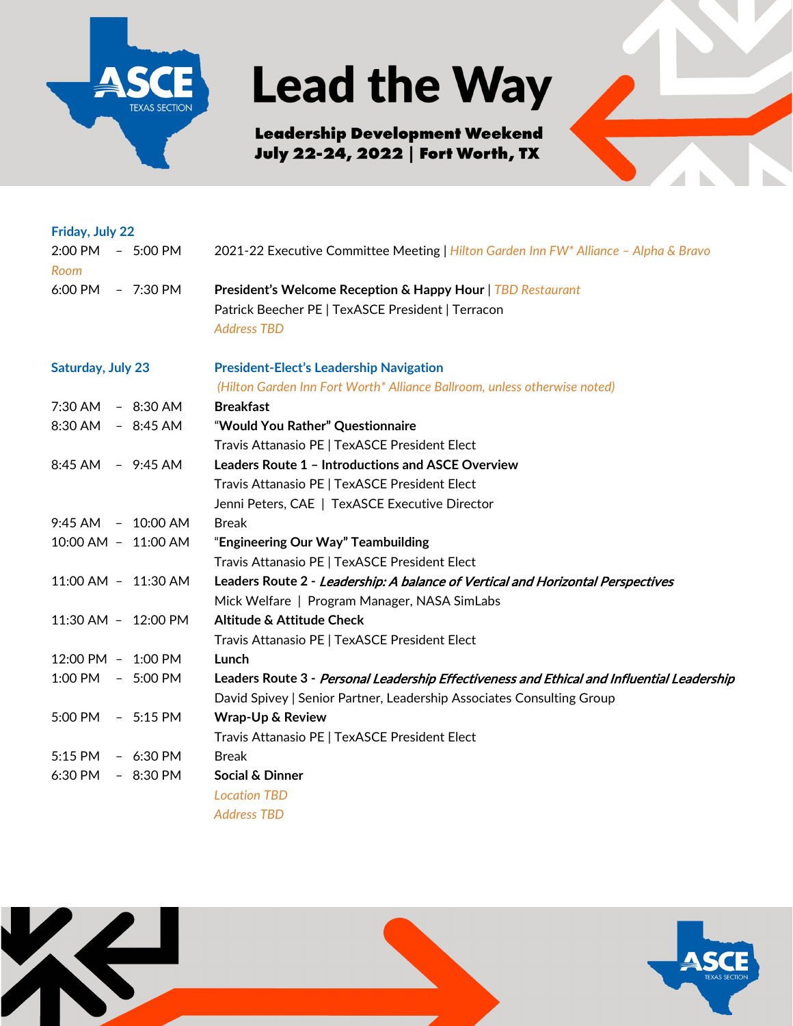

## **Lead the Way**

**Leadership Development Weekend** July 22-24, 2022 | Fort Worth, TX



| Friday, July 22                                 |                                                                                            |
|-------------------------------------------------|--------------------------------------------------------------------------------------------|
| 2:00 PM<br>$-5:00$ PM<br>Room                   | 2021-22 Executive Committee Meeting   Hilton Garden Inn FW* Alliance - Alpha & Bravo       |
| 6:00 PM - 7:30 PM                               | President's Welcome Reception & Happy Hour   TBD Restaurant                                |
|                                                 | Patrick Beecher PE   TexASCE President   Terracon                                          |
|                                                 | <b>Address TBD</b>                                                                         |
| <b>Saturday, July 23</b>                        | <b>President-Elect's Leadership Navigation</b>                                             |
|                                                 | (Hilton Garden Inn Fort Worth* Alliance Ballroom, unless otherwise noted)                  |
| 7:30 AM - 8:30 AM                               | <b>Breakfast</b>                                                                           |
| 8:30 AM - 8:45 AM                               | "Would You Rather" Questionnaire                                                           |
|                                                 | Travis Attanasio PE   TexASCE President Elect                                              |
| 8:45 AM - 9:45 AM                               | <b>Leaders Route 1 - Introductions and ASCE Overview</b>                                   |
|                                                 | Travis Attanasio PE   TexASCE President Elect                                              |
|                                                 | Jenni Peters, CAE   TexASCE Executive Director                                             |
| 9:45 AM - 10:00 AM                              | <b>Break</b>                                                                               |
| 10:00 AM - 11:00 AM                             | "Engineering Our Way" Teambuilding                                                         |
|                                                 | Travis Attanasio PE   TexASCE President Elect                                              |
| 11:00 AM - 11:30 AM                             | Leaders Route 2 - Leadership: A balance of Vertical and Horizontal Perspectives            |
|                                                 | Mick Welfare   Program Manager, NASA SimLabs                                               |
| 11:30 AM - 12:00 PM                             | Altitude & Attitude Check                                                                  |
|                                                 | Travis Attanasio PE   TexASCE President Elect                                              |
| 12:00 PM - 1:00 PM                              | Lunch                                                                                      |
| $1:00 \text{ PM} \quad - \quad 5:00 \text{ PM}$ | Leaders Route 3 - Personal Leadership Effectiveness and Ethical and Influential Leadership |
|                                                 | David Spivey   Senior Partner, Leadership Associates Consulting Group                      |
| 5:00 PM - 5:15 PM                               | <b>Wrap-Up &amp; Review</b>                                                                |
|                                                 | Travis Attanasio PE   TexASCE President Elect                                              |
| 5:15 PM - 6:30 PM                               | <b>Break</b>                                                                               |
| 6:30 PM - 8:30 PM                               | <b>Social &amp; Dinner</b>                                                                 |
|                                                 | <b>Location TBD</b>                                                                        |
|                                                 | <b>Address TBD</b>                                                                         |